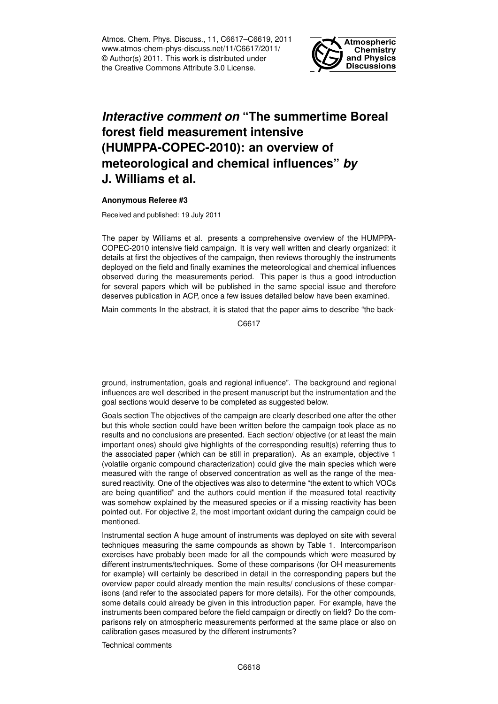Atmos. Chem. Phys. Discuss., 11, C6617–C6619, 2011 www.atmos-chem-phys-discuss.net/11/C6617/2011/ © Author(s) 2011. This work is distributed under the Creative Commons Attribute 3.0 License.



## *Interactive comment on* **"The summertime Boreal forest field measurement intensive (HUMPPA-COPEC-2010): an overview of meteorological and chemical influences"** *by* **J. Williams et al.**

## **Anonymous Referee #3**

Received and published: 19 July 2011

The paper by Williams et al. presents a comprehensive overview of the HUMPPA-COPEC-2010 intensive field campaign. It is very well written and clearly organized: it details at first the objectives of the campaign, then reviews thoroughly the instruments deployed on the field and finally examines the meteorological and chemical influences observed during the measurements period. This paper is thus a good introduction for several papers which will be published in the same special issue and therefore deserves publication in ACP, once a few issues detailed below have been examined.

Main comments In the abstract, it is stated that the paper aims to describe "the back-

C6617

ground, instrumentation, goals and regional influence". The background and regional influences are well described in the present manuscript but the instrumentation and the goal sections would deserve to be completed as suggested below.

Goals section The objectives of the campaign are clearly described one after the other but this whole section could have been written before the campaign took place as no results and no conclusions are presented. Each section/ objective (or at least the main important ones) should give highlights of the corresponding result(s) referring thus to the associated paper (which can be still in preparation). As an example, objective 1 (volatile organic compound characterization) could give the main species which were measured with the range of observed concentration as well as the range of the measured reactivity. One of the objectives was also to determine "the extent to which VOCs are being quantified" and the authors could mention if the measured total reactivity was somehow explained by the measured species or if a missing reactivity has been pointed out. For objective 2, the most important oxidant during the campaign could be mentioned.

Instrumental section A huge amount of instruments was deployed on site with several techniques measuring the same compounds as shown by Table 1. Intercomparison exercises have probably been made for all the compounds which were measured by different instruments/techniques. Some of these comparisons (for OH measurements for example) will certainly be described in detail in the corresponding papers but the overview paper could already mention the main results/ conclusions of these comparisons (and refer to the associated papers for more details). For the other compounds, some details could already be given in this introduction paper. For example, have the instruments been compared before the field campaign or directly on field? Do the comparisons rely on atmospheric measurements performed at the same place or also on calibration gases measured by the different instruments?

Technical comments